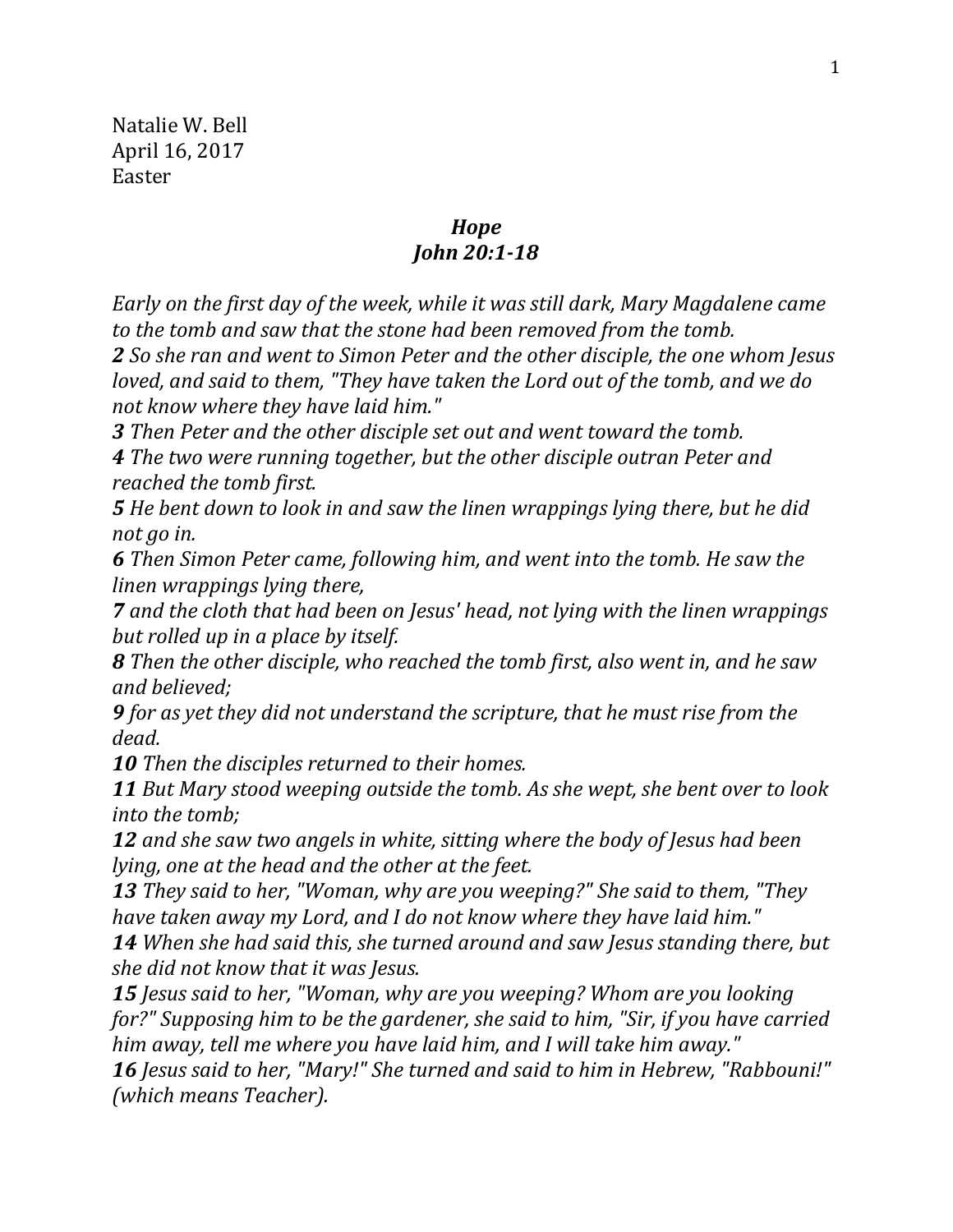Natalie W. Bell April 16, 2017 Easter

## *Hope John 20:1-18*

*Early on the first day of the week, while it was still dark, Mary Magdalene came to the tomb and saw that the stone had been removed from the tomb.* 

*2 So she ran and went to Simon Peter and the other disciple, the one whom Jesus loved, and said to them, "They have taken the Lord out of the tomb, and we do not know where they have laid him."* 

*3 Then Peter and the other disciple set out and went toward the tomb. 4 The two were running together, but the other disciple outran Peter and reached the tomb first.* 

*5 He bent down to look in and saw the linen wrappings lying there, but he did not go in.* 

*6 Then Simon Peter came, following him, and went into the tomb. He saw the linen wrappings lying there,* 

*7 and the cloth that had been on Jesus' head, not lying with the linen wrappings but rolled up in a place by itself.* 

*8 Then the other disciple, who reached the tomb first, also went in, and he saw and believed;* 

*9 for as yet they did not understand the scripture, that he must rise from the dead.* 

*10 Then the disciples returned to their homes.* 

*11 But Mary stood weeping outside the tomb. As she wept, she bent over to look into the tomb;* 

*12 and she saw two angels in white, sitting where the body of Jesus had been lying, one at the head and the other at the feet.* 

*13 They said to her, "Woman, why are you weeping?" She said to them, "They have taken away my Lord, and I do not know where they have laid him."* 

*14 When she had said this, she turned around and saw Jesus standing there, but she did not know that it was Jesus.* 

*15 Jesus said to her, "Woman, why are you weeping? Whom are you looking for?" Supposing him to be the gardener, she said to him, "Sir, if you have carried him away, tell me where you have laid him, and I will take him away."* 

*16 Jesus said to her, "Mary!" She turned and said to him in Hebrew, "Rabbouni!" (which means Teacher).*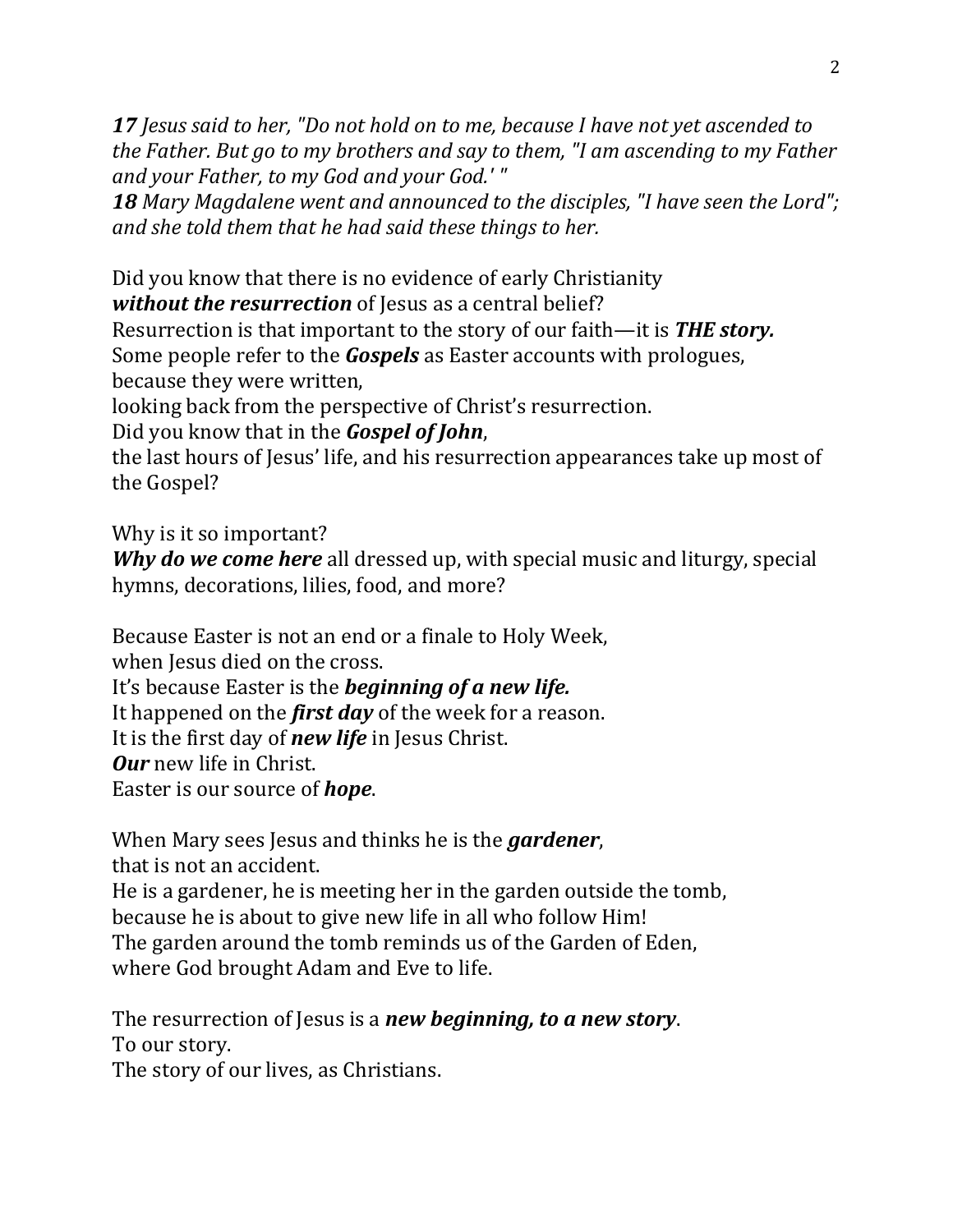*17 Jesus said to her, "Do not hold on to me, because I have not yet ascended to the Father. But go to my brothers and say to them, "I am ascending to my Father and your Father, to my God and your God.' "* 

*18 Mary Magdalene went and announced to the disciples, "I have seen the Lord"; and she told them that he had said these things to her.* 

Did you know that there is no evidence of early Christianity *without the resurrection* of Jesus as a central belief?

Resurrection is that important to the story of our faith—it is *THE story.*  Some people refer to the *Gospels* as Easter accounts with prologues, because they were written,

looking back from the perspective of Christ's resurrection.

Did you know that in the *Gospel of John*,

the last hours of Jesus' life, and his resurrection appearances take up most of the Gospel?

Why is it so important?

*Why do we come here* all dressed up, with special music and liturgy, special hymns, decorations, lilies, food, and more?

Because Easter is not an end or a finale to Holy Week,

when Jesus died on the cross.

It's because Easter is the *beginning of a new life.* 

It happened on the *first day* of the week for a reason.

It is the first day of *new life* in Jesus Christ.

*Our* new life in Christ.

Easter is our source of *hope*.

When Mary sees Jesus and thinks he is the *gardener*, that is not an accident. He is a gardener, he is meeting her in the garden outside the tomb, because he is about to give new life in all who follow Him! The garden around the tomb reminds us of the Garden of Eden,

where God brought Adam and Eve to life.

The resurrection of Jesus is a *new beginning, to a new story*. To our story.

The story of our lives, as Christians.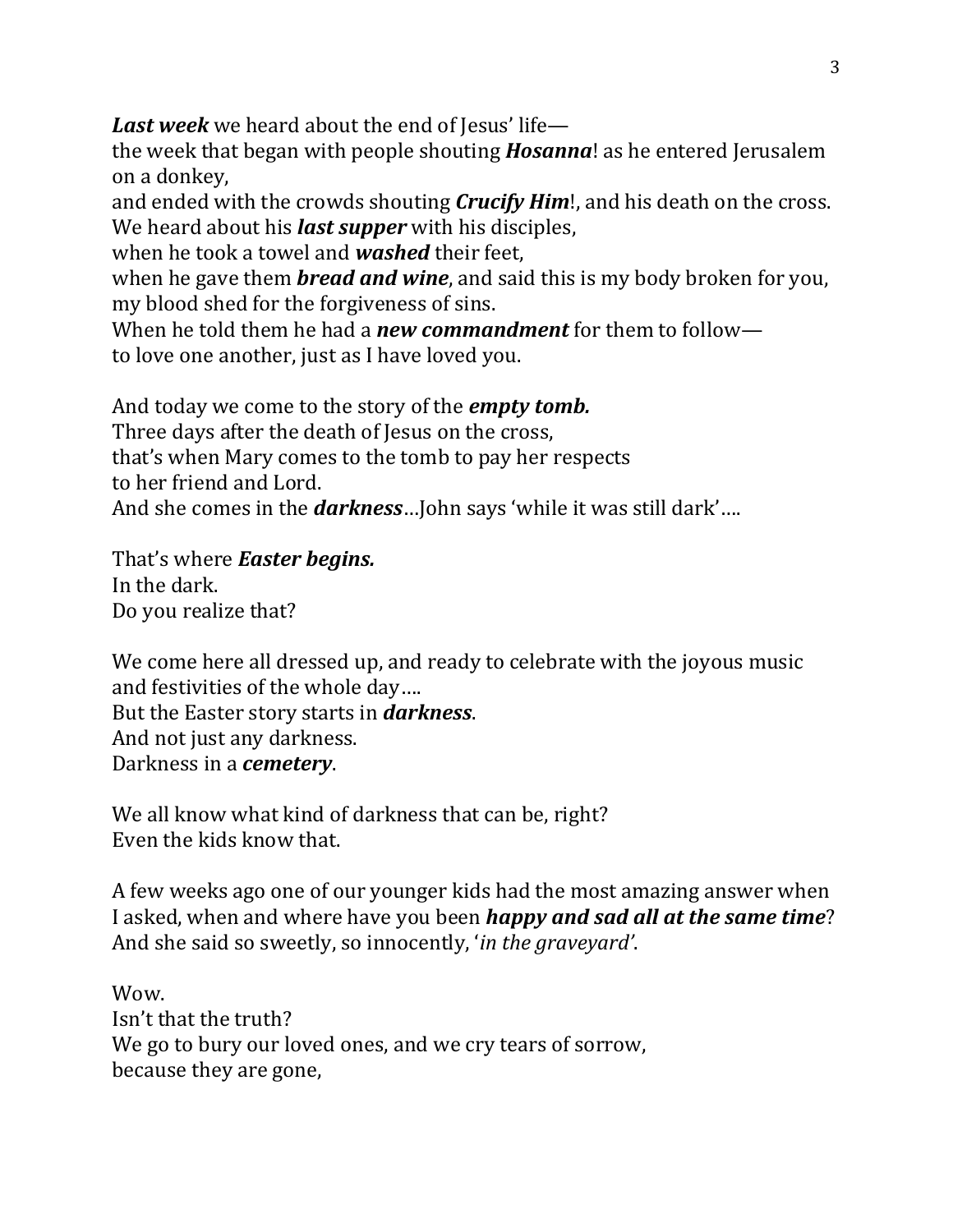*Last week* we heard about the end of Jesus' life—

the week that began with people shouting *Hosanna*! as he entered Jerusalem on a donkey,

and ended with the crowds shouting *Crucify Him*!, and his death on the cross. We heard about his *last supper* with his disciples,

when he took a towel and *washed* their feet,

when he gave them *bread and wine*, and said this is my body broken for you, my blood shed for the forgiveness of sins.

When he told them he had a *new commandment* for them to follow to love one another, just as I have loved you.

And today we come to the story of the *empty tomb.* Three days after the death of Jesus on the cross, that's when Mary comes to the tomb to pay her respects to her friend and Lord. And she comes in the *darkness*…John says 'while it was still dark'….

That's where *Easter begins.* In the dark. Do you realize that?

We come here all dressed up, and ready to celebrate with the joyous music and festivities of the whole day…. But the Easter story starts in *darkness*. And not just any darkness. Darkness in a *cemetery*.

We all know what kind of darkness that can be, right? Even the kids know that.

A few weeks ago one of our younger kids had the most amazing answer when I asked, when and where have you been *happy and sad all at the same time*? And she said so sweetly, so innocently, '*in the graveyard'*.

Wow. Isn't that the truth? We go to bury our loved ones, and we cry tears of sorrow, because they are gone,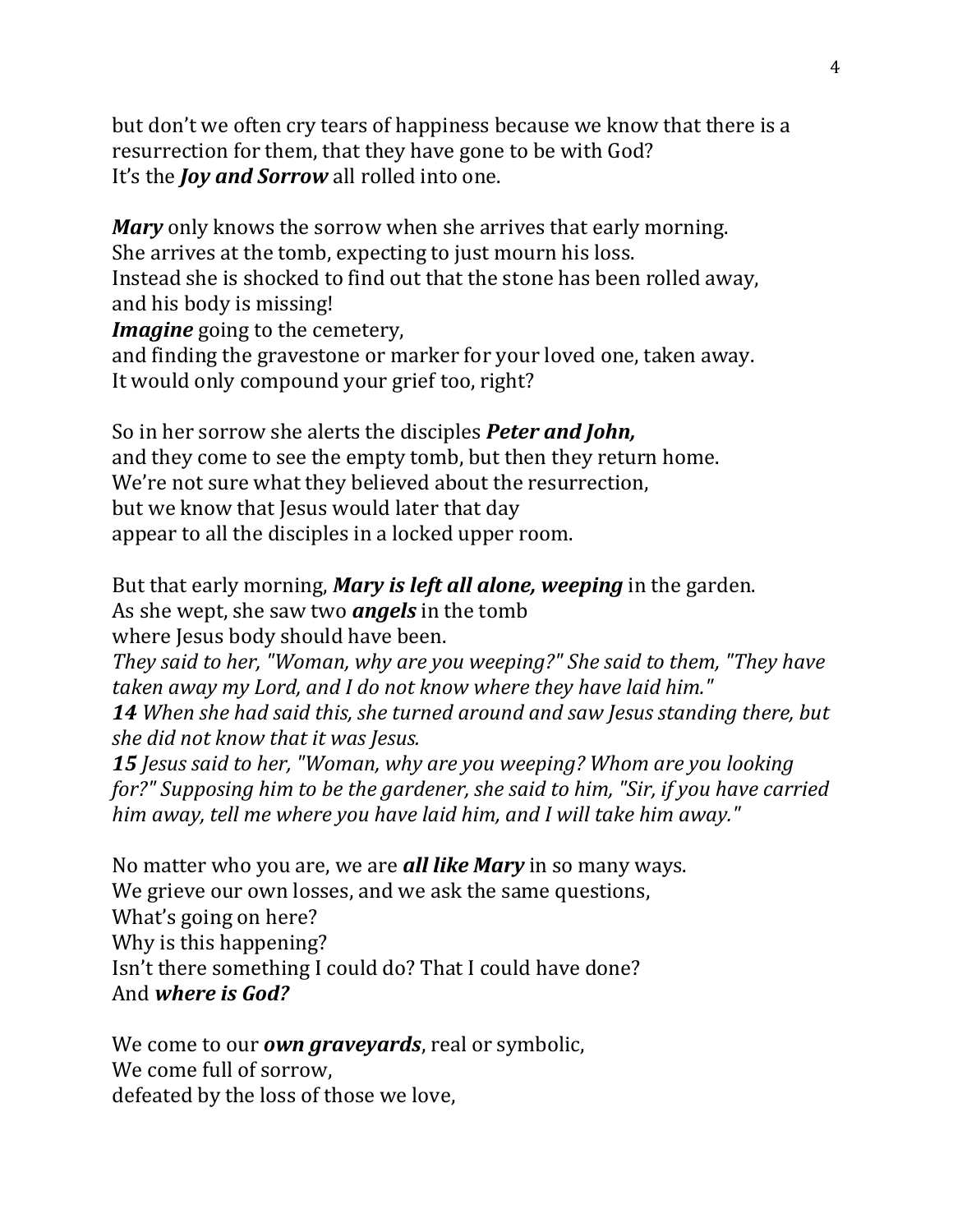but don't we often cry tears of happiness because we know that there is a resurrection for them, that they have gone to be with God? It's the *Joy and Sorrow* all rolled into one.

*Mary* only knows the sorrow when she arrives that early morning. She arrives at the tomb, expecting to just mourn his loss. Instead she is shocked to find out that the stone has been rolled away, and his body is missing! *Imagine* going to the cemetery,

and finding the gravestone or marker for your loved one, taken away. It would only compound your grief too, right?

So in her sorrow she alerts the disciples *Peter and John,* and they come to see the empty tomb, but then they return home. We're not sure what they believed about the resurrection, but we know that Jesus would later that day appear to all the disciples in a locked upper room.

But that early morning, *Mary is left all alone, weeping* in the garden. As she wept, she saw two *angels* in the tomb where Jesus body should have been.

*They said to her, "Woman, why are you weeping?" She said to them, "They have taken away my Lord, and I do not know where they have laid him." 14 When she had said this, she turned around and saw Jesus standing there, but she did not know that it was Jesus.* 

*15 Jesus said to her, "Woman, why are you weeping? Whom are you looking for?" Supposing him to be the gardener, she said to him, "Sir, if you have carried him away, tell me where you have laid him, and I will take him away."* 

No matter who you are, we are *all like Mary* in so many ways. We grieve our own losses, and we ask the same questions, What's going on here? Why is this happening? Isn't there something I could do? That I could have done? And *where is God?*

We come to our *own graveyards*, real or symbolic, We come full of sorrow, defeated by the loss of those we love,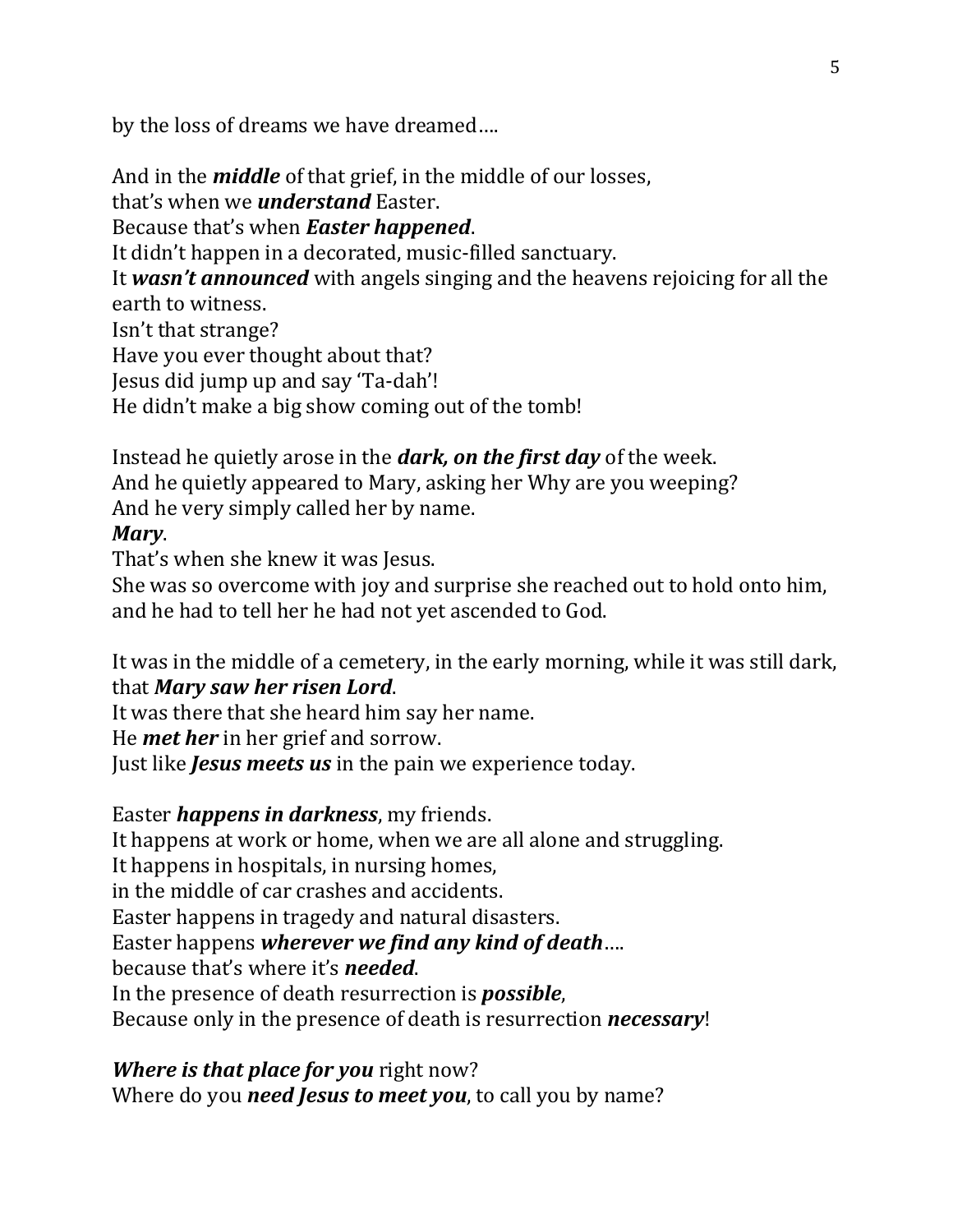by the loss of dreams we have dreamed….

And in the *middle* of that grief, in the middle of our losses, that's when we *understand* Easter. Because that's when *Easter happened*. It didn't happen in a decorated, music-filled sanctuary. It *wasn't announced* with angels singing and the heavens rejoicing for all the earth to witness. Isn't that strange? Have you ever thought about that? Jesus did jump up and say 'Ta-dah'! He didn't make a big show coming out of the tomb!

Instead he quietly arose in the *dark, on the first day* of the week. And he quietly appeared to Mary, asking her Why are you weeping? And he very simply called her by name.

## *Mary*.

That's when she knew it was Jesus.

She was so overcome with joy and surprise she reached out to hold onto him, and he had to tell her he had not yet ascended to God.

It was in the middle of a cemetery, in the early morning, while it was still dark, that *Mary saw her risen Lord*.

It was there that she heard him say her name.

He *met her* in her grief and sorrow.

Just like *Jesus meets us* in the pain we experience today.

Easter *happens in darkness*, my friends.

It happens at work or home, when we are all alone and struggling.

It happens in hospitals, in nursing homes,

in the middle of car crashes and accidents.

Easter happens in tragedy and natural disasters.

Easter happens *wherever we find any kind of death*….

because that's where it's *needed*.

In the presence of death resurrection is *possible*,

Because only in the presence of death is resurrection *necessary*!

*Where is that place for you* right now?

Where do you *need Jesus to meet you*, to call you by name?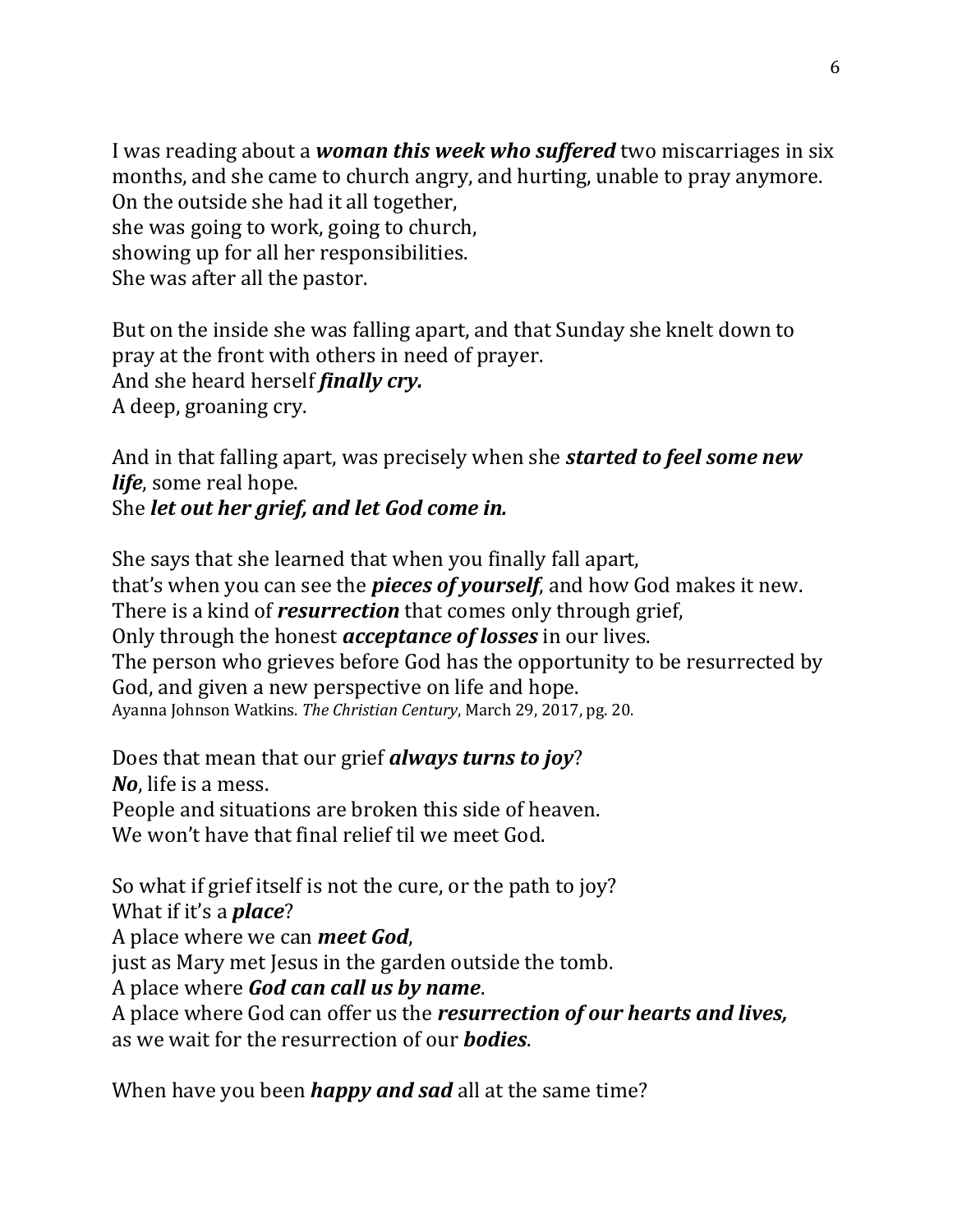I was reading about a *woman this week who suffered* two miscarriages in six months, and she came to church angry, and hurting, unable to pray anymore. On the outside she had it all together, she was going to work, going to church, showing up for all her responsibilities. She was after all the pastor.

But on the inside she was falling apart, and that Sunday she knelt down to pray at the front with others in need of prayer. And she heard herself *finally cry.* A deep, groaning cry.

And in that falling apart, was precisely when she *started to feel some new life*, some real hope. She *let out her grief, and let God come in.*

She says that she learned that when you finally fall apart, that's when you can see the *pieces of yourself*, and how God makes it new. There is a kind of *resurrection* that comes only through grief, Only through the honest *acceptance of losses* in our lives. The person who grieves before God has the opportunity to be resurrected by God, and given a new perspective on life and hope. Ayanna Johnson Watkins. *The Christian Century*, March 29, 2017, pg. 20.

Does that mean that our grief *always turns to joy*? *No*, life is a mess. People and situations are broken this side of heaven. We won't have that final relief til we meet God.

So what if grief itself is not the cure, or the path to joy? What if it's a *place*? A place where we can *meet God*, just as Mary met Jesus in the garden outside the tomb. A place where *God can call us by name*. A place where God can offer us the *resurrection of our hearts and lives,* as we wait for the resurrection of our *bodies*.

When have you been *happy and sad* all at the same time?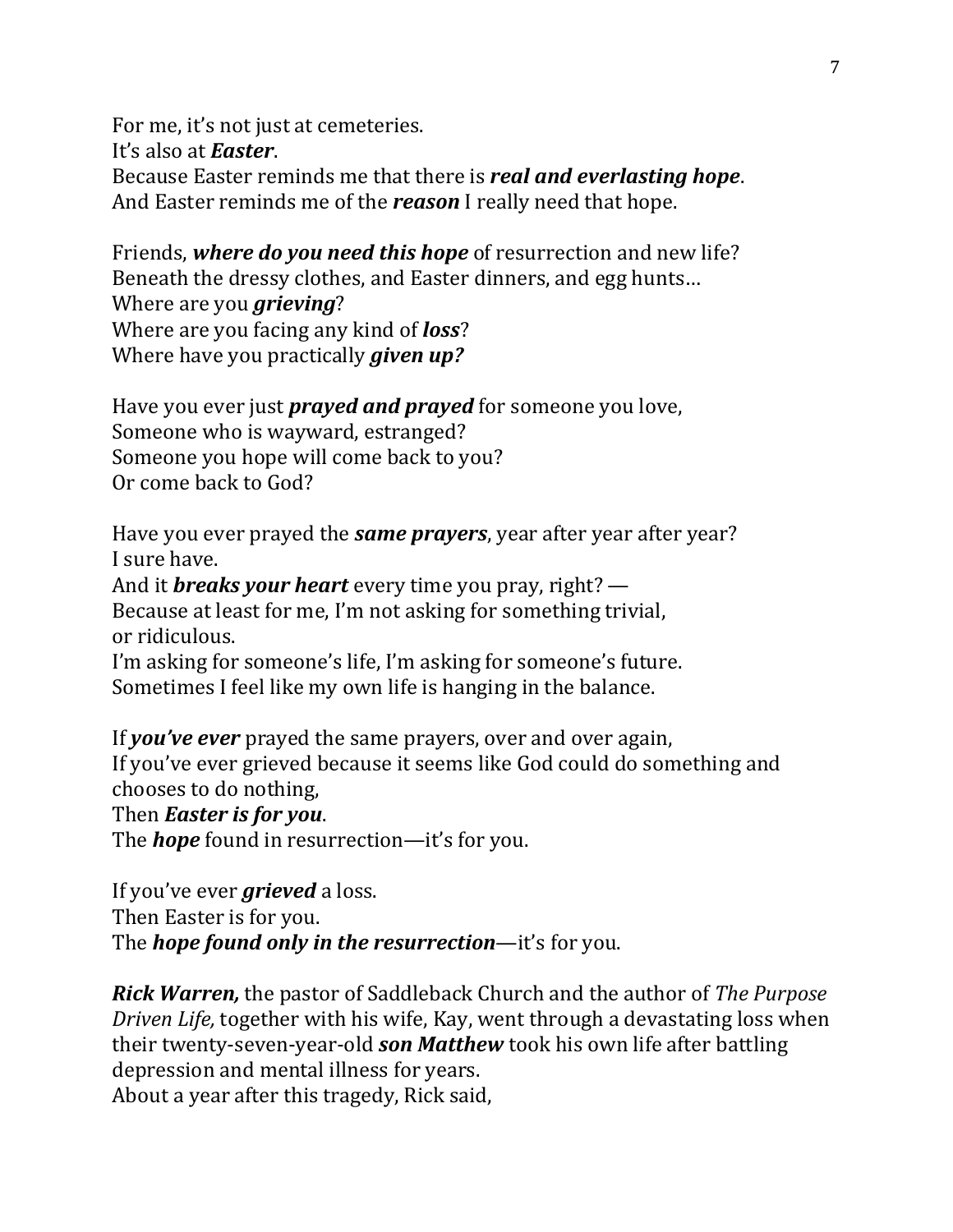For me, it's not just at cemeteries. It's also at *Easter*. Because Easter reminds me that there is *real and everlasting hope*. And Easter reminds me of the *reason* I really need that hope.

Friends, *where do you need this hope* of resurrection and new life? Beneath the dressy clothes, and Easter dinners, and egg hunts… Where are you *grieving*? Where are you facing any kind of *loss*? Where have you practically *given up?*

Have you ever just *prayed and prayed* for someone you love, Someone who is wayward, estranged? Someone you hope will come back to you? Or come back to God?

Have you ever prayed the *same prayers*, year after year after year? I sure have. And it *breaks your heart* every time you pray, right? — Because at least for me, I'm not asking for something trivial, or ridiculous. I'm asking for someone's life, I'm asking for someone's future. Sometimes I feel like my own life is hanging in the balance.

If *you've ever* prayed the same prayers, over and over again, If you've ever grieved because it seems like God could do something and chooses to do nothing,

Then *Easter is for you*.

The *hope* found in resurrection—it's for you.

If you've ever *grieved* a loss. Then Easter is for you. The *hope found only in the resurrection*—it's for you.

*Rick Warren,* the pastor of Saddleback Church and the author of *The Purpose Driven Life,* together with his wife, Kay, went through a devastating loss when their twenty-seven-year-old *son Matthew* took his own life after battling depression and mental illness for years.

About a year after this tragedy, Rick said,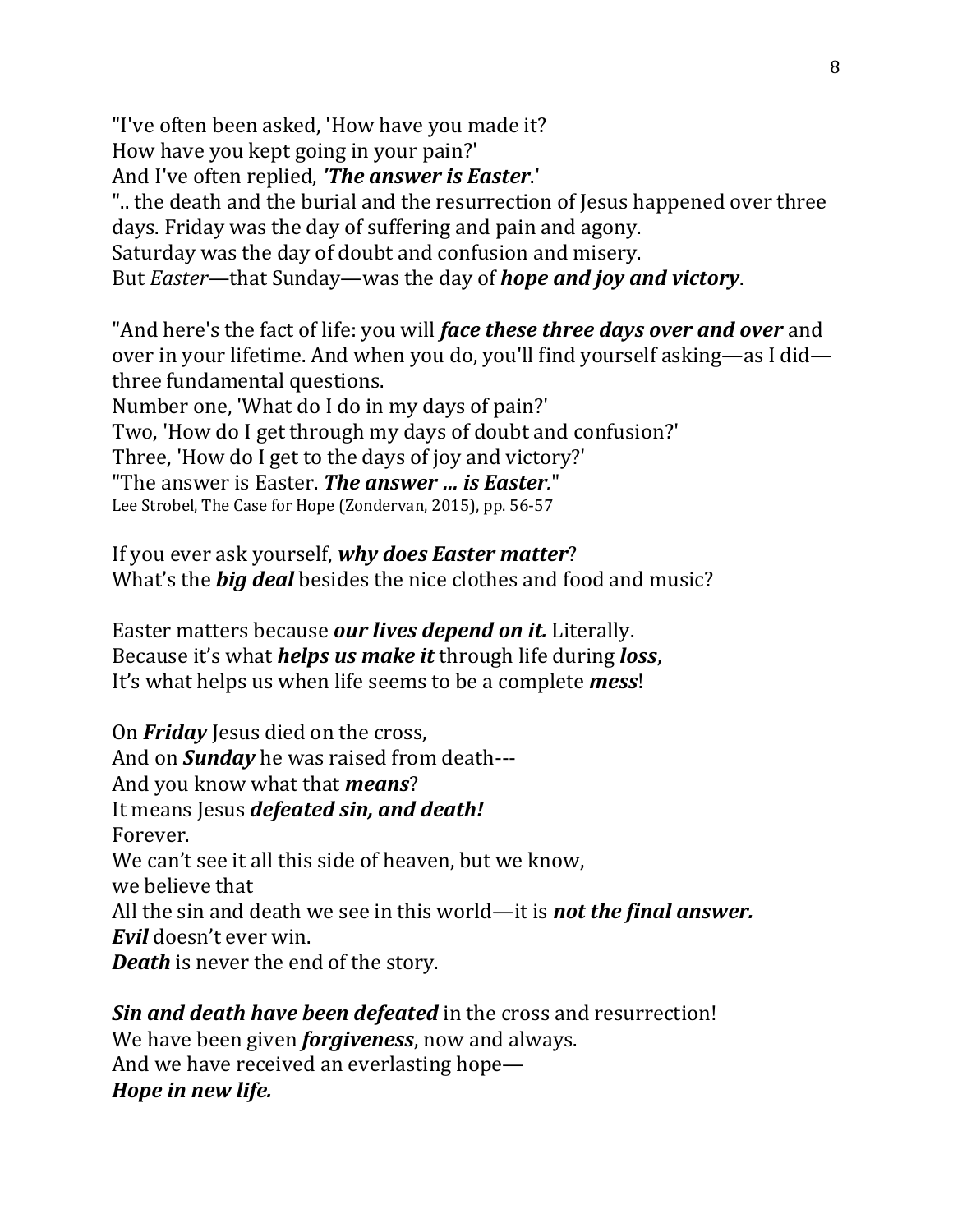"I've often been asked, 'How have you made it?

How have you kept going in your pain?'

And I've often replied, *'The answer is Easter*.'

".. the death and the burial and the resurrection of Jesus happened over three days. Friday was the day of suffering and pain and agony.

Saturday was the day of doubt and confusion and misery.

But *Easter*—that Sunday—was the day of *hope and joy and victory*.

"And here's the fact of life: you will *face these three days over and over* and over in your lifetime. And when you do, you'll find yourself asking—as I did three fundamental questions.

Number one, 'What do I do in my days of pain?'

Two, 'How do I get through my days of doubt and confusion?'

Three, 'How do I get to the days of joy and victory?'

"The answer is Easter. *The answer … is Easter.*"

Lee Strobel, The Case for Hope (Zondervan, 2015), pp. 56-57

If you ever ask yourself, *why does Easter matter*? What's the *big deal* besides the nice clothes and food and music?

Easter matters because *our lives depend on it.* Literally. Because it's what *helps us make it* through life during *loss*, It's what helps us when life seems to be a complete *mess*!

On *Friday* Jesus died on the cross, And on *Sunday* he was raised from death--- And you know what that *means*? It means Jesus *defeated sin, and death!*  Forever. We can't see it all this side of heaven, but we know, we believe that All the sin and death we see in this world—it is *not the final answer. Evil* doesn't ever win. *Death* is never the end of the story.

*Sin and death have been defeated* in the cross and resurrection! We have been given *forgiveness*, now and always. And we have received an everlasting hope— *Hope in new life.*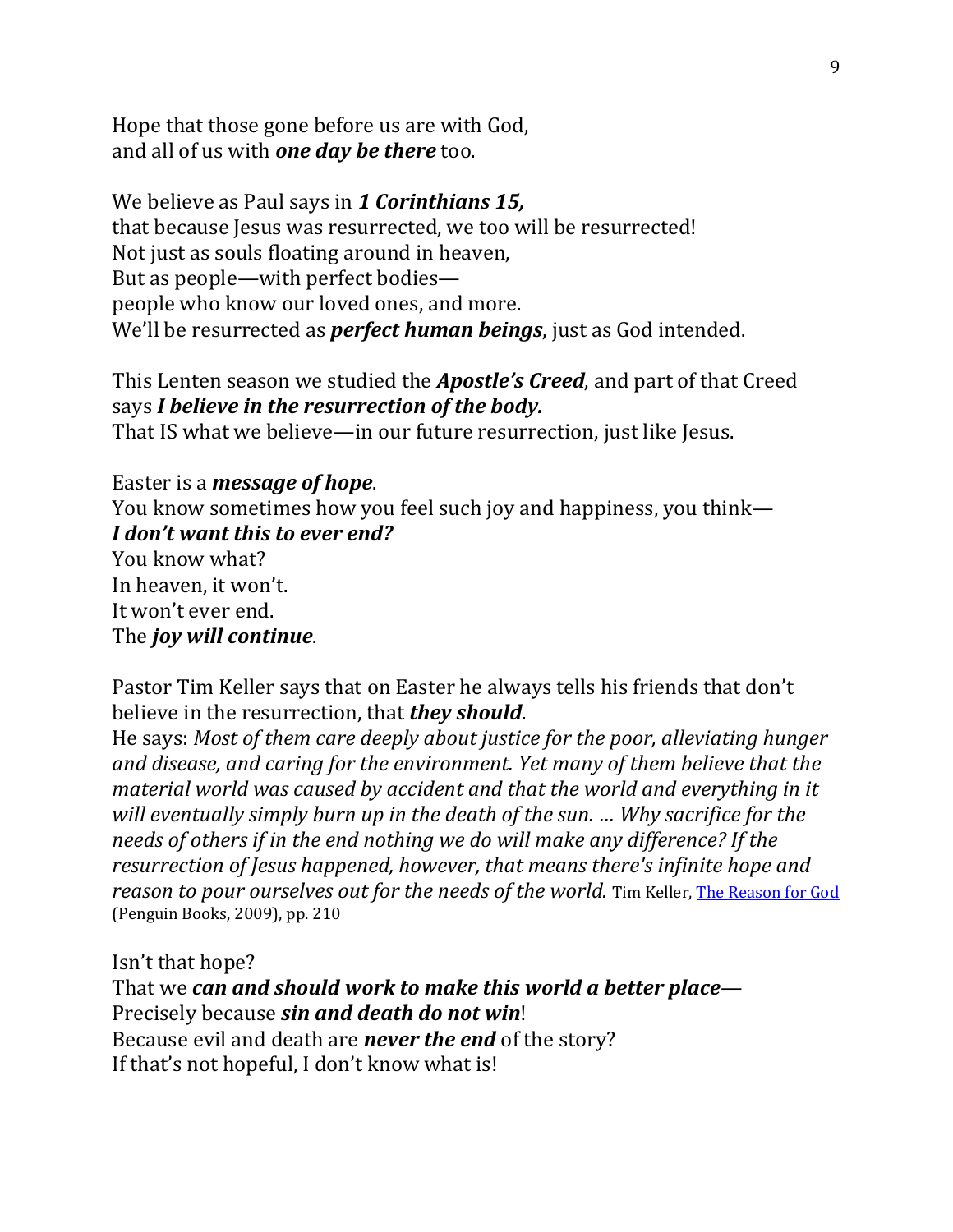Hope that those gone before us are with God, and all of us with *one day be there* too.

We believe as Paul says in *1 Corinthians 15,* that because Jesus was resurrected, we too will be resurrected! Not just as souls floating around in heaven, But as people—with perfect bodies people who know our loved ones, and more. We'll be resurrected as *perfect human beings*, just as God intended.

This Lenten season we studied the *Apostle's Creed*, and part of that Creed says *I believe in the resurrection of the body.*  That IS what we believe—in our future resurrection, just like Jesus.

Easter is a *message of hope*. You know sometimes how you feel such joy and happiness, you think— *I don't want this to ever end?* You know what? In heaven, it won't. It won't ever end. The *joy will continue*.

Pastor Tim Keller says that on Easter he always tells his friends that don't believe in the resurrection, that *they should*.

He says: *Most of them care deeply about justice for the poor, alleviating hunger and disease, and caring for the environment. Yet many of them believe that the material world was caused by accident and that the world and everything in it will eventually simply burn up in the death of the sun. … Why sacrifice for the needs of others if in the end nothing we do will make any difference? If the resurrection of Jesus happened, however, that means there's infinite hope and reason to pour ourselves out for the needs of the world.* Tim Keller[, The Reason for God](https://www.amazon.com/Reason-God-Belief-Age-Skepticism/dp/1594483493/ref=sr_1_1?ie=UTF8&qid=1489784043&sr=8-1&keywords=Keller%2C+The+Reason+for+God) (Penguin Books, 2009), pp. 210

Isn't that hope? That we *can and should work to make this world a better place*— Precisely because *sin and death do not win*! Because evil and death are *never the end* of the story? If that's not hopeful, I don't know what is!